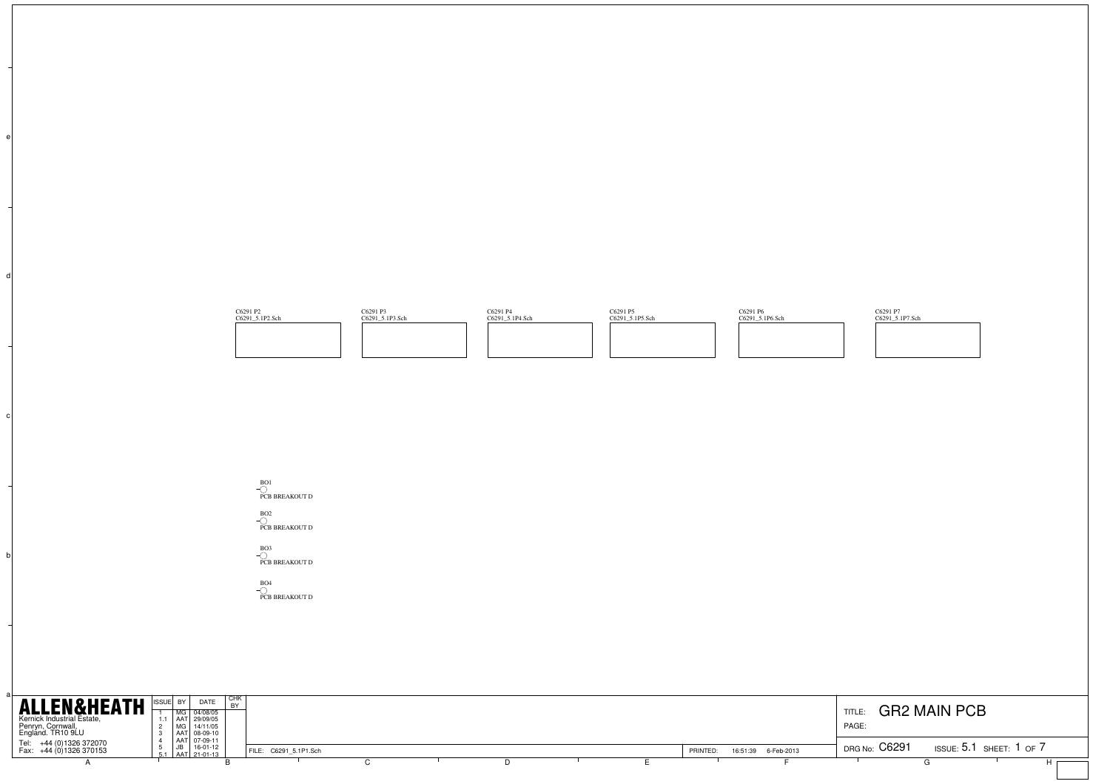



BO2 PCB BREAKOUT D

BO3 PCB BREAKOUT D

b

c

d

BO4 PCB BREAKOUT D

| <b>ALLEN&amp;HEATH</b><br>Kernick Industrial Estate,<br>Penryn, Cornwall,<br>England. TR10 9LU | I CHK<br>DATE<br>ISSUE BY<br>MG 04/08/05<br>AAT 29/09/05<br>MG 14/11/05<br>AAT 08-09-10 |                       |  |          |                     | TITLE:<br>PAGE | <b>GR2 MAIN PCB</b>            |
|------------------------------------------------------------------------------------------------|-----------------------------------------------------------------------------------------|-----------------------|--|----------|---------------------|----------------|--------------------------------|
| +44 (0)1326 372070<br>Tel:<br>Fax: +44 (0) 1326 370153                                         | AAT 07-09-11<br>JB 16-01-12<br>AAT 21-01-13                                             | FILE: C6291 5.1P1.Sch |  | PRINTED: | 16:51:39 6-Feb-2013 | DRG No: C6291  | ISSUE: $5.1$ SHEET: $1$ OF $7$ |
|                                                                                                |                                                                                         |                       |  |          |                     |                |                                |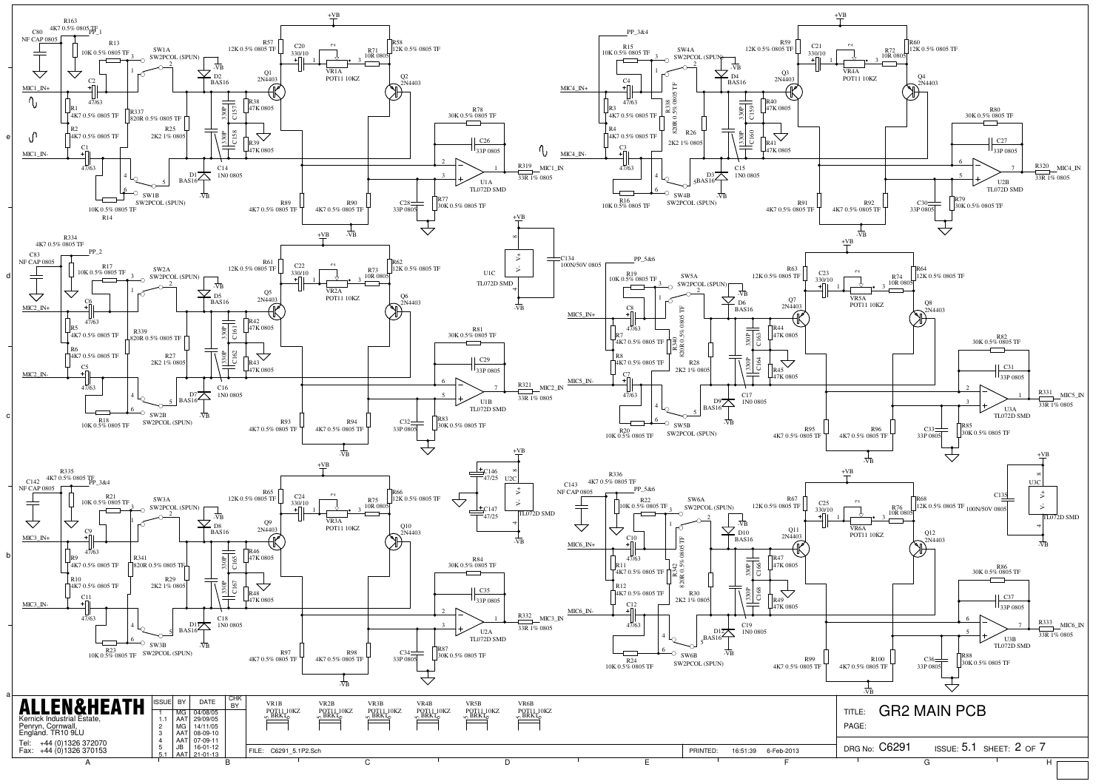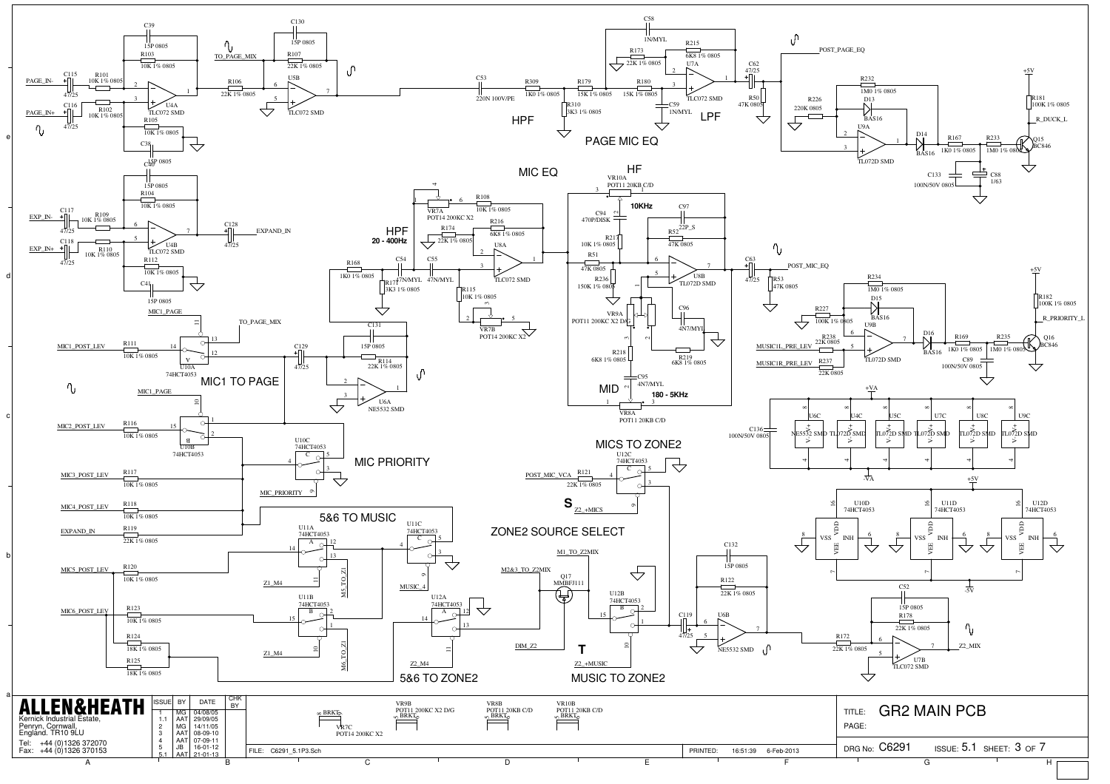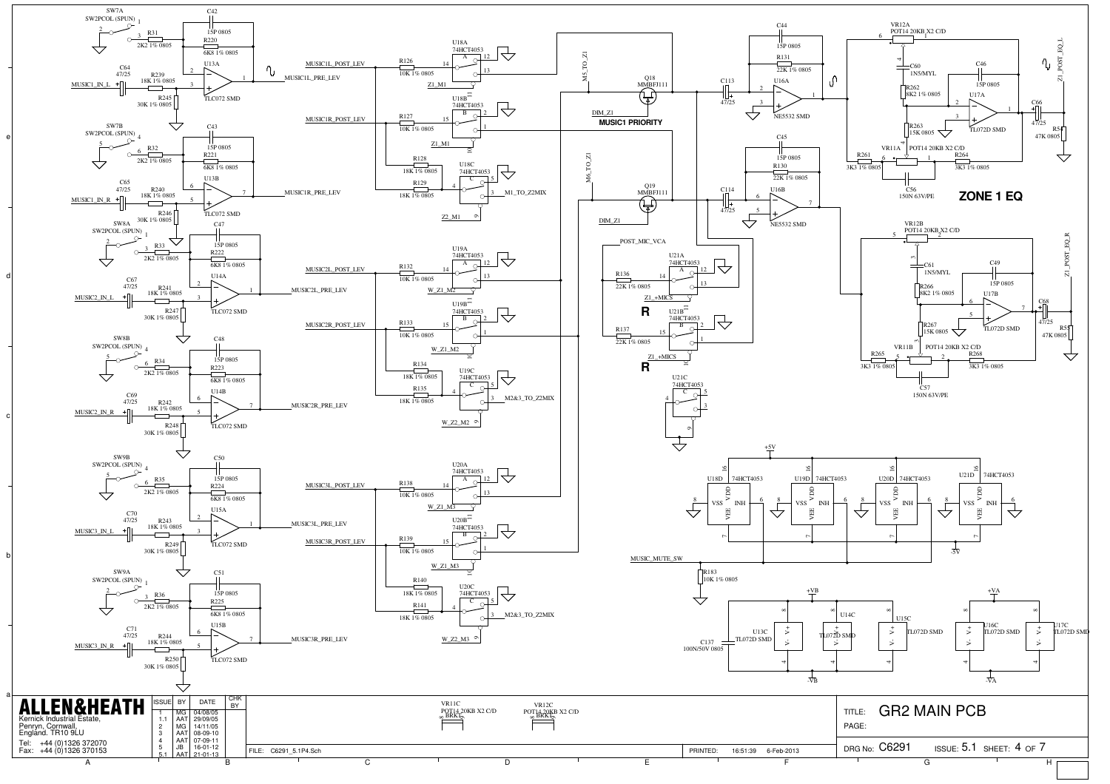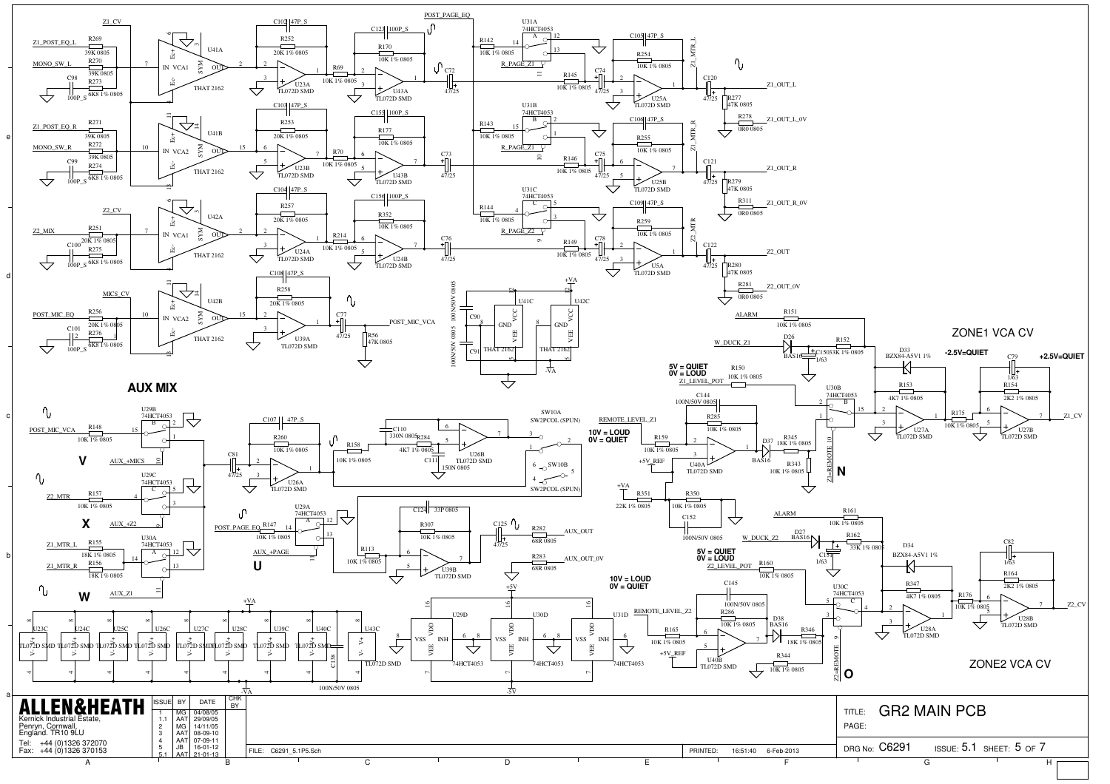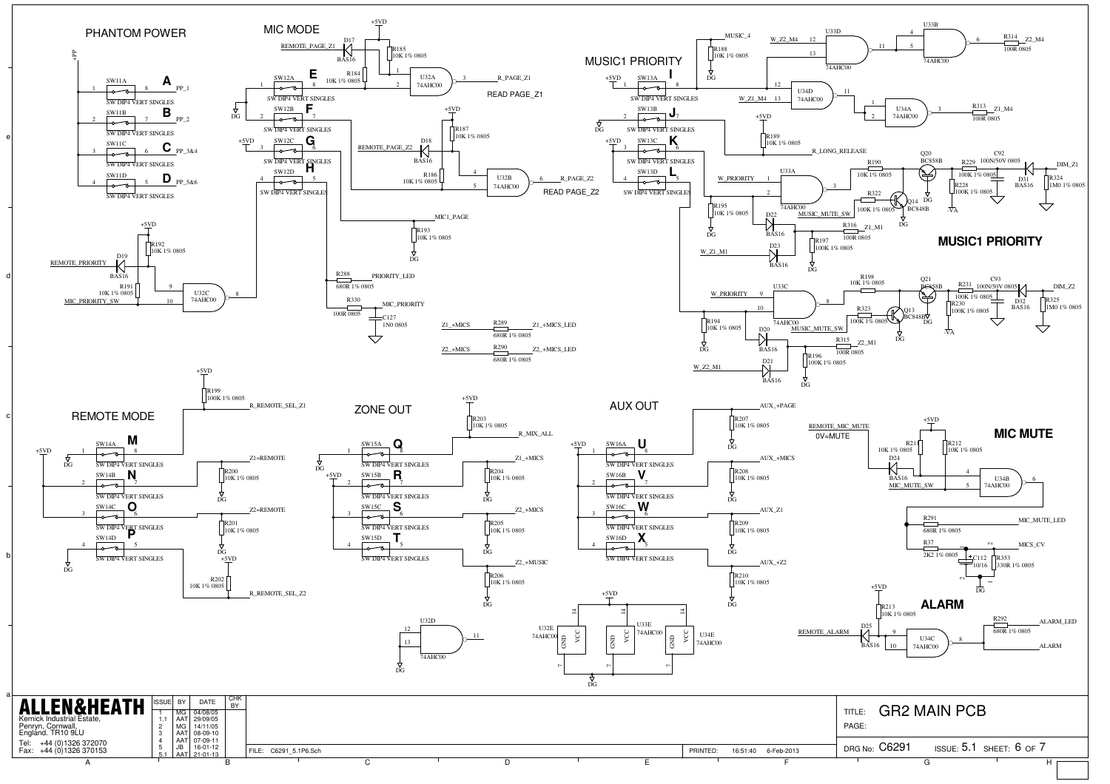